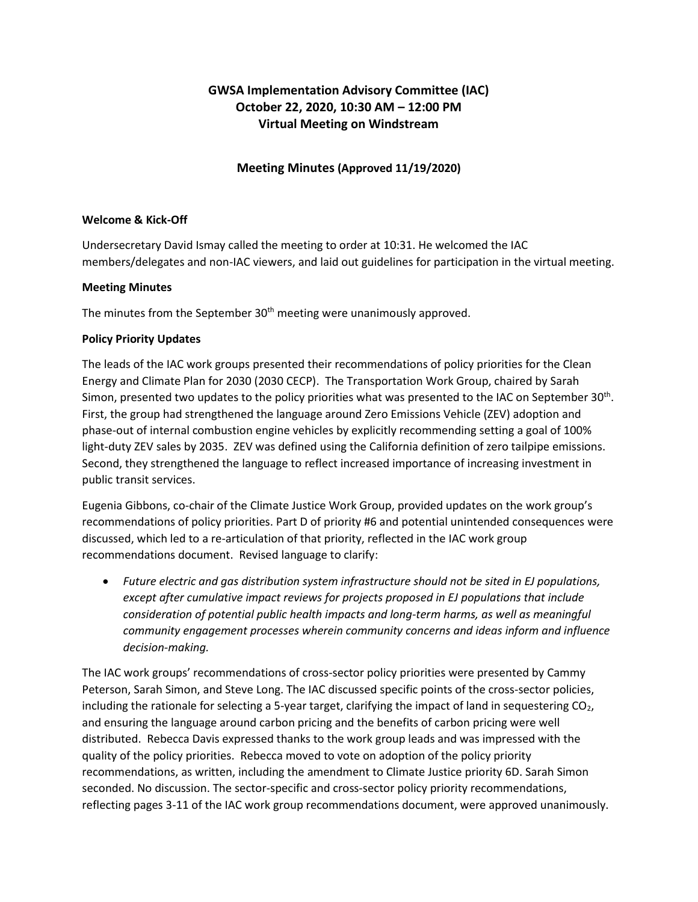# **GWSA Implementation Advisory Committee (IAC) October 22, 2020, 10:30 AM – 12:00 PM Virtual Meeting on Windstream**

## **Meeting Minutes (Approved 11/19/2020)**

### **Welcome & Kick-Off**

Undersecretary David Ismay called the meeting to order at 10:31. He welcomed the IAC members/delegates and non-IAC viewers, and laid out guidelines for participation in the virtual meeting.

#### **Meeting Minutes**

The minutes from the September  $30<sup>th</sup>$  meeting were unanimously approved.

#### **Policy Priority Updates**

The leads of the IAC work groups presented their recommendations of policy priorities for the Clean Energy and Climate Plan for 2030 (2030 CECP). The Transportation Work Group, chaired by Sarah Simon, presented two updates to the policy priorities what was presented to the IAC on September 30<sup>th</sup>. First, the group had strengthened the language around Zero Emissions Vehicle (ZEV) adoption and phase-out of internal combustion engine vehicles by explicitly recommending setting a goal of 100% light-duty ZEV sales by 2035. ZEV was defined using the California definition of zero tailpipe emissions. Second, they strengthened the language to reflect increased importance of increasing investment in public transit services.

Eugenia Gibbons, co-chair of the Climate Justice Work Group, provided updates on the work group's recommendations of policy priorities. Part D of priority #6 and potential unintended consequences were discussed, which led to a re-articulation of that priority, reflected in the IAC work group recommendations document. Revised language to clarify:

• *Future electric and gas distribution system infrastructure should not be sited in EJ populations, except after cumulative impact reviews for projects proposed in EJ populations that include consideration of potential public health impacts and long-term harms, as well as meaningful community engagement processes wherein community concerns and ideas inform and influence decision-making.*

The IAC work groups' recommendations of cross-sector policy priorities were presented by Cammy Peterson, Sarah Simon, and Steve Long. The IAC discussed specific points of the cross-sector policies, including the rationale for selecting a 5-year target, clarifying the impact of land in sequestering  $CO<sub>2</sub>$ , and ensuring the language around carbon pricing and the benefits of carbon pricing were well distributed. Rebecca Davis expressed thanks to the work group leads and was impressed with the quality of the policy priorities. Rebecca moved to vote on adoption of the policy priority recommendations, as written, including the amendment to Climate Justice priority 6D. Sarah Simon seconded. No discussion. The sector-specific and cross-sector policy priority recommendations, reflecting pages 3-11 of the IAC work group recommendations document, were approved unanimously.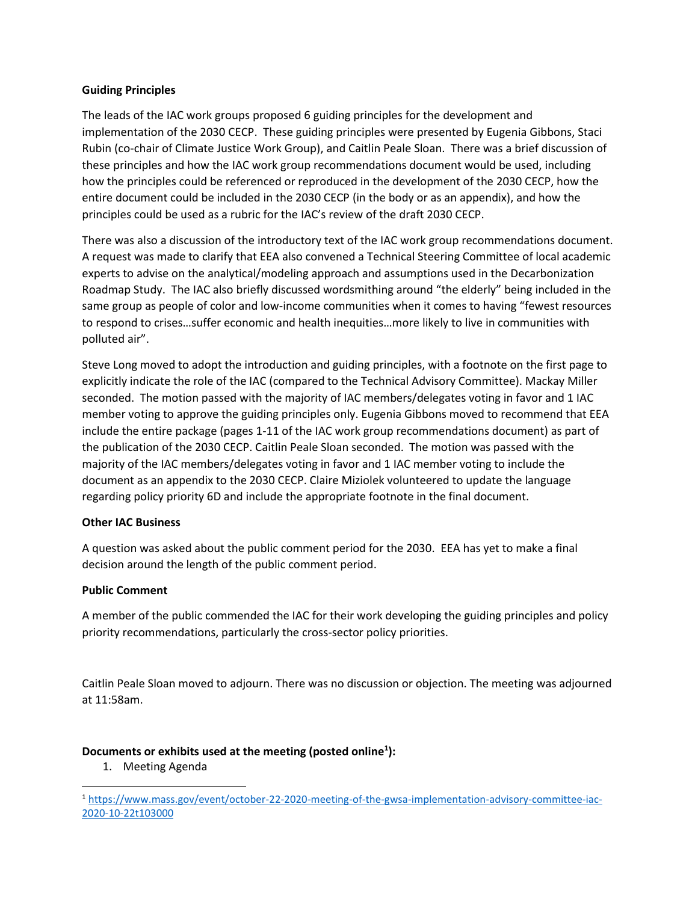#### **Guiding Principles**

The leads of the IAC work groups proposed 6 guiding principles for the development and implementation of the 2030 CECP. These guiding principles were presented by Eugenia Gibbons, Staci Rubin (co-chair of Climate Justice Work Group), and Caitlin Peale Sloan. There was a brief discussion of these principles and how the IAC work group recommendations document would be used, including how the principles could be referenced or reproduced in the development of the 2030 CECP, how the entire document could be included in the 2030 CECP (in the body or as an appendix), and how the principles could be used as a rubric for the IAC's review of the draft 2030 CECP.

There was also a discussion of the introductory text of the IAC work group recommendations document. A request was made to clarify that EEA also convened a Technical Steering Committee of local academic experts to advise on the analytical/modeling approach and assumptions used in the Decarbonization Roadmap Study. The IAC also briefly discussed wordsmithing around "the elderly" being included in the same group as people of color and low-income communities when it comes to having "fewest resources to respond to crises…suffer economic and health inequities…more likely to live in communities with polluted air".

Steve Long moved to adopt the introduction and guiding principles, with a footnote on the first page to explicitly indicate the role of the IAC (compared to the Technical Advisory Committee). Mackay Miller seconded. The motion passed with the majority of IAC members/delegates voting in favor and 1 IAC member voting to approve the guiding principles only. Eugenia Gibbons moved to recommend that EEA include the entire package (pages 1-11 of the IAC work group recommendations document) as part of the publication of the 2030 CECP. Caitlin Peale Sloan seconded. The motion was passed with the majority of the IAC members/delegates voting in favor and 1 IAC member voting to include the document as an appendix to the 2030 CECP. Claire Miziolek volunteered to update the language regarding policy priority 6D and include the appropriate footnote in the final document.

#### **Other IAC Business**

A question was asked about the public comment period for the 2030. EEA has yet to make a final decision around the length of the public comment period.

#### **Public Comment**

A member of the public commended the IAC for their work developing the guiding principles and policy priority recommendations, particularly the cross-sector policy priorities.

Caitlin Peale Sloan moved to adjourn. There was no discussion or objection. The meeting was adjourned at 11:58am.

### **Documents or exhibits used at the meeting (posted online<sup>1</sup> ):**

1. Meeting Agenda

<sup>1</sup> [https://www.mass.gov/event/october-22-2020-meeting-of-the-gwsa-implementation-advisory-committee-iac-](https://www.mass.gov/event/october-22-2020-meeting-of-the-gwsa-implementation-advisory-committee-iac-2020-10-22t103000)[2020-10-22t103000](https://www.mass.gov/event/october-22-2020-meeting-of-the-gwsa-implementation-advisory-committee-iac-2020-10-22t103000)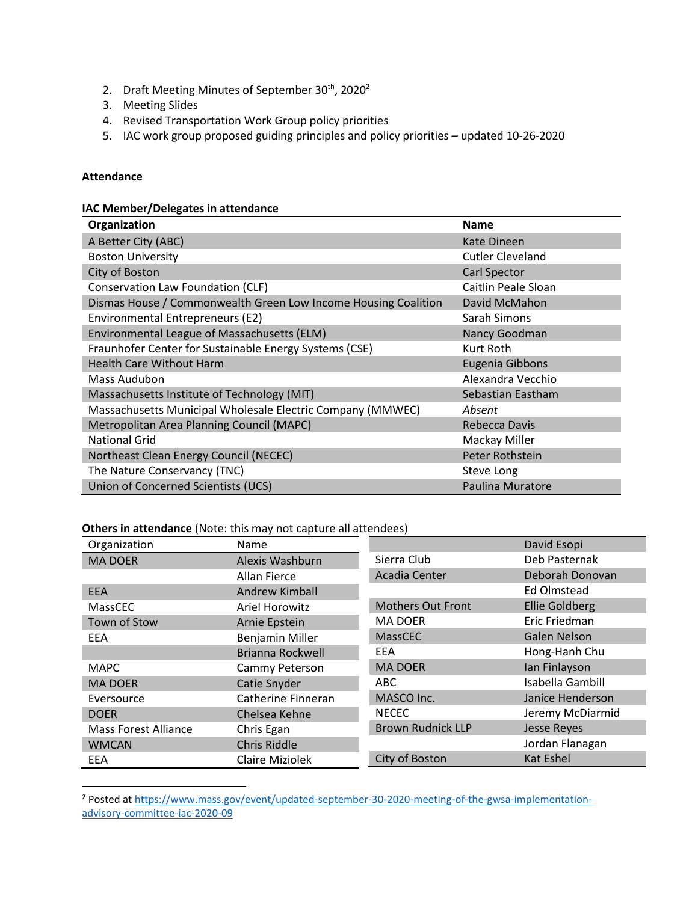- 2. Draft Meeting Minutes of September 30<sup>th</sup>, 2020<sup>2</sup>
- 3. Meeting Slides
- 4. Revised Transportation Work Group policy priorities
- 5. IAC work group proposed guiding principles and policy priorities updated 10-26-2020

#### **Attendance**

#### **IAC Member/Delegates in attendance**

| Organization                                                   | <b>Name</b>             |
|----------------------------------------------------------------|-------------------------|
| A Better City (ABC)                                            | Kate Dineen             |
| <b>Boston University</b>                                       | <b>Cutler Cleveland</b> |
| City of Boston                                                 | <b>Carl Spector</b>     |
| Conservation Law Foundation (CLF)                              | Caitlin Peale Sloan     |
| Dismas House / Commonwealth Green Low Income Housing Coalition | David McMahon           |
| Environmental Entrepreneurs (E2)                               | Sarah Simons            |
| Environmental League of Massachusetts (ELM)                    | Nancy Goodman           |
| Fraunhofer Center for Sustainable Energy Systems (CSE)         | Kurt Roth               |
| <b>Health Care Without Harm</b>                                | Eugenia Gibbons         |
| Mass Audubon                                                   | Alexandra Vecchio       |
| Massachusetts Institute of Technology (MIT)                    | Sebastian Eastham       |
| Massachusetts Municipal Wholesale Electric Company (MMWEC)     | Absent                  |
| Metropolitan Area Planning Council (MAPC)                      | Rebecca Davis           |
| <b>National Grid</b>                                           | Mackay Miller           |
| Northeast Clean Energy Council (NECEC)                         | Peter Rothstein         |
| The Nature Conservancy (TNC)                                   | Steve Long              |
| Union of Concerned Scientists (UCS)                            | Paulina Muratore        |

#### **Others in attendance** (Note: this may not capture all attendees)

| Organization                | Name                   |                          | David Esopi           |
|-----------------------------|------------------------|--------------------------|-----------------------|
| <b>MA DOER</b>              | Alexis Washburn        | Sierra Club              | Deb Pasternak         |
|                             | Allan Fierce           | Acadia Center            | Deborah Donovan       |
| <b>EEA</b>                  | <b>Andrew Kimball</b>  |                          | Ed Olmstead           |
| <b>MassCEC</b>              | <b>Ariel Horowitz</b>  | <b>Mothers Out Front</b> | <b>Ellie Goldberg</b> |
| Town of Stow                | Arnie Epstein          | <b>MA DOER</b>           | Eric Friedman         |
| EEA                         | Benjamin Miller        | <b>MassCEC</b>           | <b>Galen Nelson</b>   |
|                             | Brianna Rockwell       | <b>EEA</b>               | Hong-Hanh Chu         |
| <b>MAPC</b>                 | Cammy Peterson         | <b>MA DOER</b>           | Ian Finlayson         |
| <b>MA DOER</b>              | Catie Snyder           | ABC                      | Isabella Gambill      |
| Eversource                  | Catherine Finneran     | MASCO Inc.               | Janice Henderson      |
| <b>DOER</b>                 | Chelsea Kehne          | <b>NECEC</b>             | Jeremy McDiarmid      |
| <b>Mass Forest Alliance</b> | Chris Egan             | <b>Brown Rudnick LLP</b> | <b>Jesse Reyes</b>    |
| <b>WMCAN</b>                | Chris Riddle           |                          | Jordan Flanagan       |
| EEA                         | <b>Claire Miziolek</b> | City of Boston           | <b>Kat Eshel</b>      |

<sup>&</sup>lt;sup>2</sup> Posted at [https://www.mass.gov/event/updated-september-30-2020-meeting-of-the-gwsa-implementation](https://www.mass.gov/event/updated-september-30-2020-meeting-of-the-gwsa-implementation-advisory-committee-iac-2020-09)[advisory-committee-iac-2020-09](https://www.mass.gov/event/updated-september-30-2020-meeting-of-the-gwsa-implementation-advisory-committee-iac-2020-09)